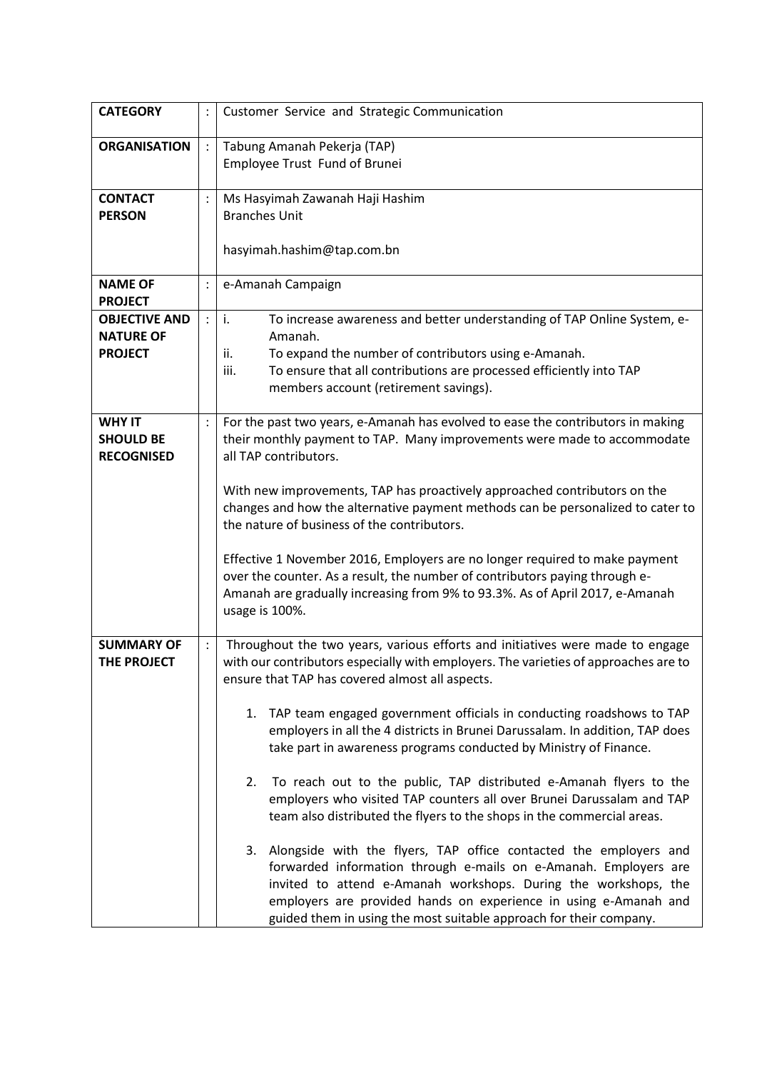| <b>CATEGORY</b>                   |                      | Customer Service and Strategic Communication                                                                                                                |
|-----------------------------------|----------------------|-------------------------------------------------------------------------------------------------------------------------------------------------------------|
|                                   |                      |                                                                                                                                                             |
| <b>ORGANISATION</b>               | $\ddot{\phantom{a}}$ | Tabung Amanah Pekerja (TAP)                                                                                                                                 |
|                                   |                      | Employee Trust Fund of Brunei                                                                                                                               |
|                                   |                      |                                                                                                                                                             |
| <b>CONTACT</b>                    | $\ddot{\cdot}$       | Ms Hasyimah Zawanah Haji Hashim                                                                                                                             |
| <b>PERSON</b>                     |                      | <b>Branches Unit</b>                                                                                                                                        |
|                                   |                      |                                                                                                                                                             |
|                                   |                      | hasyimah.hashim@tap.com.bn                                                                                                                                  |
| <b>NAME OF</b>                    | $\ddot{\cdot}$       | e-Amanah Campaign                                                                                                                                           |
| <b>PROJECT</b>                    |                      |                                                                                                                                                             |
| <b>OBJECTIVE AND</b>              | $\ddot{\cdot}$       | $\mathbf{i}$ .<br>To increase awareness and better understanding of TAP Online System, e-                                                                   |
| <b>NATURE OF</b>                  |                      | Amanah.                                                                                                                                                     |
| <b>PROJECT</b>                    |                      | To expand the number of contributors using e-Amanah.<br>ii.                                                                                                 |
|                                   |                      | To ensure that all contributions are processed efficiently into TAP<br>iii.                                                                                 |
|                                   |                      | members account (retirement savings).                                                                                                                       |
|                                   |                      |                                                                                                                                                             |
| <b>WHY IT</b><br><b>SHOULD BE</b> | $\ddot{\cdot}$       | For the past two years, e-Amanah has evolved to ease the contributors in making<br>their monthly payment to TAP. Many improvements were made to accommodate |
| <b>RECOGNISED</b>                 |                      | all TAP contributors.                                                                                                                                       |
|                                   |                      |                                                                                                                                                             |
|                                   |                      | With new improvements, TAP has proactively approached contributors on the                                                                                   |
|                                   |                      | changes and how the alternative payment methods can be personalized to cater to                                                                             |
|                                   |                      | the nature of business of the contributors.                                                                                                                 |
|                                   |                      |                                                                                                                                                             |
|                                   |                      | Effective 1 November 2016, Employers are no longer required to make payment                                                                                 |
|                                   |                      | over the counter. As a result, the number of contributors paying through e-<br>Amanah are gradually increasing from 9% to 93.3%. As of April 2017, e-Amanah |
|                                   |                      | usage is 100%.                                                                                                                                              |
|                                   |                      |                                                                                                                                                             |
| <b>SUMMARY OF</b>                 | $\ddot{\cdot}$       | Throughout the two years, various efforts and initiatives were made to engage                                                                               |
| THE PROJECT                       |                      | with our contributors especially with employers. The varieties of approaches are to                                                                         |
|                                   |                      | ensure that TAP has covered almost all aspects.                                                                                                             |
|                                   |                      |                                                                                                                                                             |
|                                   |                      | 1. TAP team engaged government officials in conducting roadshows to TAP                                                                                     |
|                                   |                      | employers in all the 4 districts in Brunei Darussalam. In addition, TAP does<br>take part in awareness programs conducted by Ministry of Finance.           |
|                                   |                      |                                                                                                                                                             |
|                                   |                      | To reach out to the public, TAP distributed e-Amanah flyers to the<br>2.                                                                                    |
|                                   |                      | employers who visited TAP counters all over Brunei Darussalam and TAP                                                                                       |
|                                   |                      | team also distributed the flyers to the shops in the commercial areas.                                                                                      |
|                                   |                      |                                                                                                                                                             |
|                                   |                      | Alongside with the flyers, TAP office contacted the employers and<br>3.                                                                                     |
|                                   |                      | forwarded information through e-mails on e-Amanah. Employers are                                                                                            |
|                                   |                      | invited to attend e-Amanah workshops. During the workshops, the                                                                                             |
|                                   |                      | employers are provided hands on experience in using e-Amanah and                                                                                            |
|                                   |                      | guided them in using the most suitable approach for their company.                                                                                          |